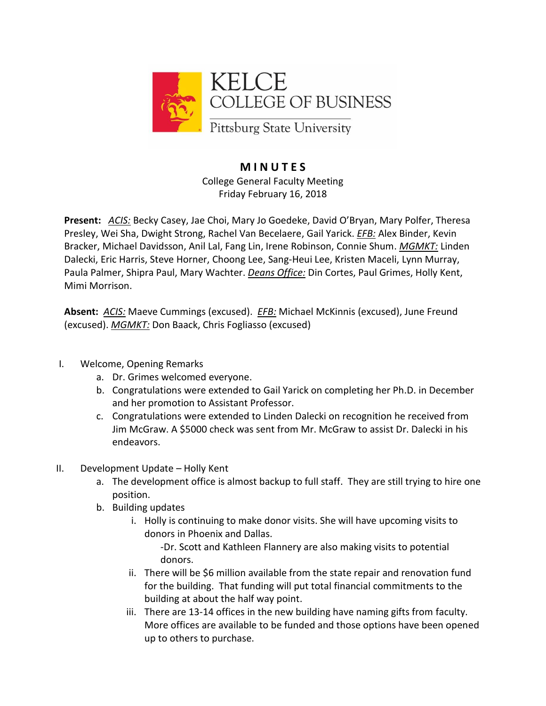

## **M I N U T E S** College General Faculty Meeting Friday February 16, 2018

**Present:** *ACIS:* Becky Casey, Jae Choi, Mary Jo Goedeke, David O'Bryan, Mary Polfer, Theresa Presley, Wei Sha, Dwight Strong, Rachel Van Becelaere, Gail Yarick. *EFB:* Alex Binder, Kevin Bracker, Michael Davidsson, Anil Lal, Fang Lin, Irene Robinson, Connie Shum. *MGMKT:* Linden Dalecki, Eric Harris, Steve Horner, Choong Lee, Sang-Heui Lee, Kristen Maceli, Lynn Murray, Paula Palmer, Shipra Paul, Mary Wachter. *Deans Office:* Din Cortes, Paul Grimes, Holly Kent, Mimi Morrison.

**Absent:** *ACIS:* Maeve Cummings (excused). *EFB:* Michael McKinnis (excused), June Freund (excused). *MGMKT:* Don Baack, Chris Fogliasso (excused)

- I. Welcome, Opening Remarks
	- a. Dr. Grimes welcomed everyone.
	- b. Congratulations were extended to Gail Yarick on completing her Ph.D. in December and her promotion to Assistant Professor.
	- c. Congratulations were extended to Linden Dalecki on recognition he received from Jim McGraw. A \$5000 check was sent from Mr. McGraw to assist Dr. Dalecki in his endeavors.
- II. Development Update Holly Kent
	- a. The development office is almost backup to full staff. They are still trying to hire one position.
	- b. Building updates
		- i. Holly is continuing to make donor visits. She will have upcoming visits to donors in Phoenix and Dallas.

-Dr. Scott and Kathleen Flannery are also making visits to potential donors.

- ii. There will be \$6 million available from the state repair and renovation fund for the building. That funding will put total financial commitments to the building at about the half way point.
- iii. There are 13-14 offices in the new building have naming gifts from faculty. More offices are available to be funded and those options have been opened up to others to purchase.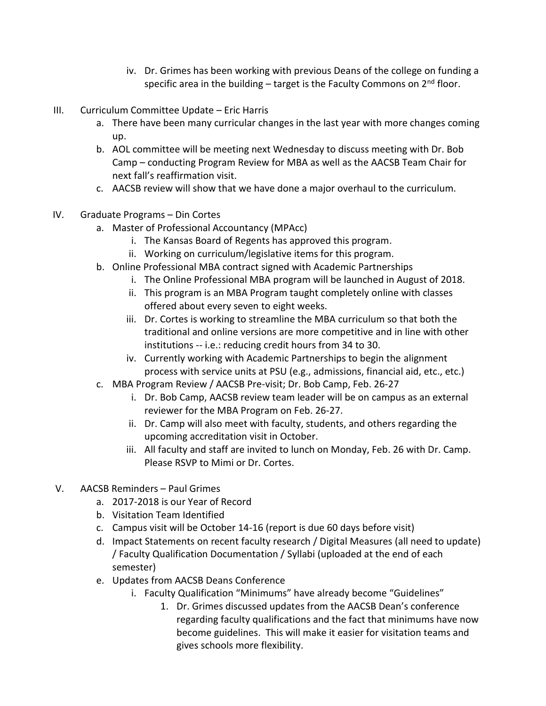- iv. Dr. Grimes has been working with previous Deans of the college on funding a specific area in the building  $-$  target is the Faculty Commons on  $2<sup>nd</sup>$  floor.
- III. Curriculum Committee Update Eric Harris
	- a. There have been many curricular changes in the last year with more changes coming up.
	- b. AOL committee will be meeting next Wednesday to discuss meeting with Dr. Bob Camp – conducting Program Review for MBA as well as the AACSB Team Chair for next fall's reaffirmation visit.
	- c. AACSB review will show that we have done a major overhaul to the curriculum.
- IV. Graduate Programs Din Cortes
	- a. Master of Professional Accountancy (MPAcc)
		- i. The Kansas Board of Regents has approved this program.
		- ii. Working on curriculum/legislative items for this program.
	- b. Online Professional MBA contract signed with Academic Partnerships
		- i. The Online Professional MBA program will be launched in August of 2018.
		- ii. This program is an MBA Program taught completely online with classes offered about every seven to eight weeks.
		- iii. Dr. Cortes is working to streamline the MBA curriculum so that both the traditional and online versions are more competitive and in line with other institutions -- i.e.: reducing credit hours from 34 to 30.
		- iv. Currently working with Academic Partnerships to begin the alignment process with service units at PSU (e.g., admissions, financial aid, etc., etc.)
	- c. MBA Program Review / AACSB Pre-visit; Dr. Bob Camp, Feb. 26-27
		- i. Dr. Bob Camp, AACSB review team leader will be on campus as an external reviewer for the MBA Program on Feb. 26-27.
		- ii. Dr. Camp will also meet with faculty, students, and others regarding the upcoming accreditation visit in October.
		- iii. All faculty and staff are invited to lunch on Monday, Feb. 26 with Dr. Camp. Please RSVP to Mimi or Dr. Cortes.
- V. AACSB Reminders Paul Grimes
	- a. 2017-2018 is our Year of Record
	- b. Visitation Team Identified
	- c. Campus visit will be October 14-16 (report is due 60 days before visit)
	- d. Impact Statements on recent faculty research / Digital Measures (all need to update) / Faculty Qualification Documentation / Syllabi (uploaded at the end of each semester)
	- e. Updates from AACSB Deans Conference
		- i. Faculty Qualification "Minimums" have already become "Guidelines"
			- 1. Dr. Grimes discussed updates from the AACSB Dean's conference regarding faculty qualifications and the fact that minimums have now become guidelines. This will make it easier for visitation teams and gives schools more flexibility.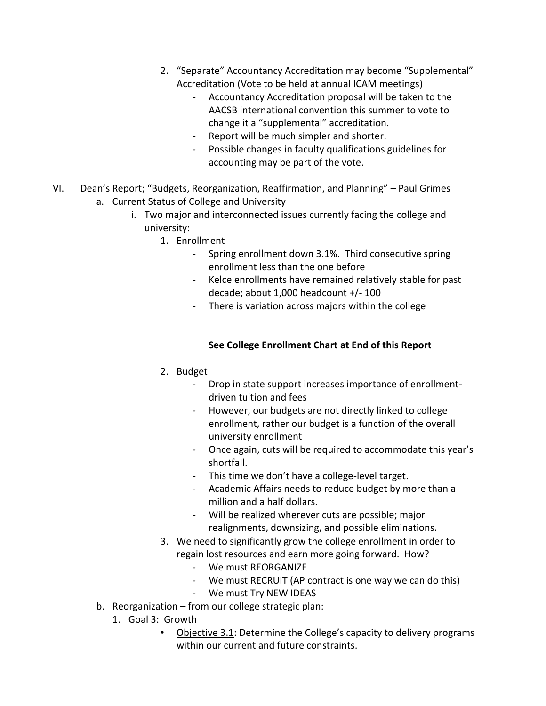- 2. "Separate" Accountancy Accreditation may become "Supplemental" Accreditation (Vote to be held at annual ICAM meetings)
	- Accountancy Accreditation proposal will be taken to the AACSB international convention this summer to vote to change it a "supplemental" accreditation.
	- Report will be much simpler and shorter.
	- Possible changes in faculty qualifications guidelines for accounting may be part of the vote.
- VI. Dean's Report; "Budgets, Reorganization, Reaffirmation, and Planning" Paul Grimes a. Current Status of College and University
	- i. Two major and interconnected issues currently facing the college and university:
		- 1. Enrollment
			- Spring enrollment down 3.1%. Third consecutive spring enrollment less than the one before
			- Kelce enrollments have remained relatively stable for past decade; about 1,000 headcount +/- 100
			- There is variation across majors within the college

### **See College Enrollment Chart at End of this Report**

- 2. Budget
	- Drop in state support increases importance of enrollmentdriven tuition and fees
	- However, our budgets are not directly linked to college enrollment, rather our budget is a function of the overall university enrollment
	- Once again, cuts will be required to accommodate this year's shortfall.
	- This time we don't have a college-level target.
	- Academic Affairs needs to reduce budget by more than a million and a half dollars.
	- Will be realized wherever cuts are possible; major realignments, downsizing, and possible eliminations.
- 3. We need to significantly grow the college enrollment in order to regain lost resources and earn more going forward. How?
	- We must REORGANIZE
	- We must RECRUIT (AP contract is one way we can do this)
	- We must Try NEW IDEAS
- b. Reorganization from our college strategic plan:
	- 1. Goal 3: Growth
		- Objective 3.1: Determine the College's capacity to delivery programs within our current and future constraints.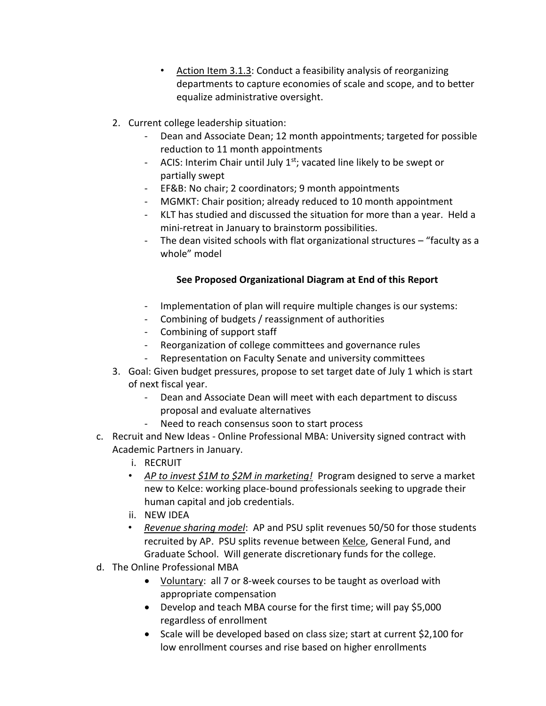- Action Item 3.1.3: Conduct a feasibility analysis of reorganizing departments to capture economies of scale and scope, and to better equalize administrative oversight.
- 2. Current college leadership situation:
	- Dean and Associate Dean; 12 month appointments; targeted for possible reduction to 11 month appointments
	- ACIS: Interim Chair until July  $1<sup>st</sup>$ ; vacated line likely to be swept or partially swept
	- EF&B: No chair; 2 coordinators; 9 month appointments
	- MGMKT: Chair position; already reduced to 10 month appointment
	- KLT has studied and discussed the situation for more than a year. Held a mini-retreat in January to brainstorm possibilities.
	- The dean visited schools with flat organizational structures "faculty as a whole" model

## **See Proposed Organizational Diagram at End of this Report**

- Implementation of plan will require multiple changes is our systems:
- Combining of budgets / reassignment of authorities
- Combining of support staff
- Reorganization of college committees and governance rules
- Representation on Faculty Senate and university committees
- 3. Goal: Given budget pressures, propose to set target date of July 1 which is start of next fiscal year.
	- Dean and Associate Dean will meet with each department to discuss proposal and evaluate alternatives
	- Need to reach consensus soon to start process
- c. Recruit and New Ideas Online Professional MBA: University signed contract with Academic Partners in January.
	- i. RECRUIT
	- *AP to invest \$1M to \$2M in marketing!* Program designed to serve a market new to Kelce: working place-bound professionals seeking to upgrade their human capital and job credentials.
	- ii. NEW IDEA
	- *Revenue sharing model*: AP and PSU split revenues 50/50 for those students recruited by AP. PSU splits revenue between Kelce, General Fund, and Graduate School. Will generate discretionary funds for the college.
- d. The Online Professional MBA
	- Voluntary: all 7 or 8-week courses to be taught as overload with appropriate compensation
	- Develop and teach MBA course for the first time; will pay \$5,000 regardless of enrollment
	- Scale will be developed based on class size; start at current \$2,100 for low enrollment courses and rise based on higher enrollments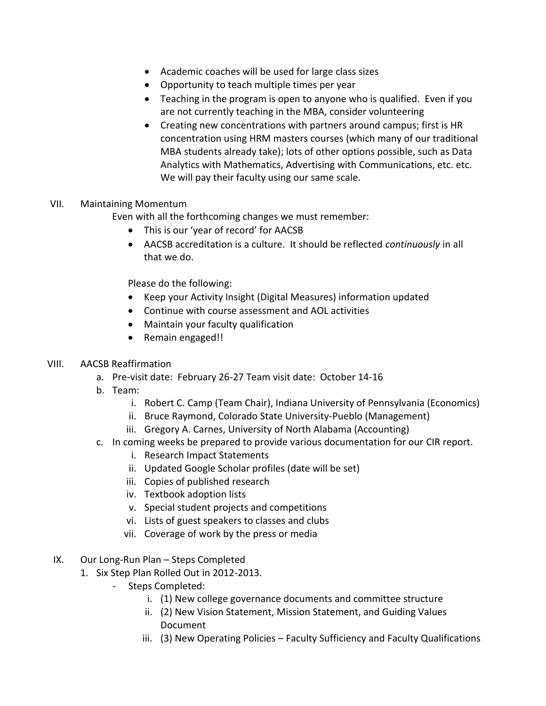- Academic coaches will be used for large class sizes
- Opportunity to teach multiple times per year
- Teaching in the program is open to anyone who is qualified. Even if you are not currently teaching in the MBA, consider volunteering
- Creating new concentrations with partners around campus; first is HR concentration using HRM masters courses (which many of our traditional MBA students already take); lots of other options possible, such as Data Analytics with Mathematics, Advertising with Communications, etc. etc. We will pay their faculty using our same scale.

### VII. Maintaining Momentum

Even with all the forthcoming changes we must remember:

- This is our 'year of record' for AACSB
- AACSB accreditation is a culture. It should be reflected *continuously* in all that we do.

Please do the following:

- Keep your Activity Insight (Digital Measures) information updated
- Continue with course assessment and AOL activities
- Maintain your faculty qualification
- Remain engaged!!

#### VIII. AACSB Reaffirmation

- a. Pre-visit date: February 26-27 Team visit date: October 14-16
- b. Team:
	- i. Robert C. Camp (Team Chair), Indiana University of Pennsylvania (Economics)
	- ii. Bruce Raymond, Colorado State University-Pueblo (Management)
	- iii. Gregory A. Carnes, University of North Alabama (Accounting)
- c. In coming weeks be prepared to provide various documentation for our CIR report.
	- i. Research Impact Statements
	- ii. Updated Google Scholar profiles (date will be set)
	- iii. Copies of published research
	- iv. Textbook adoption lists
	- v. Special student projects and competitions
	- vi. Lists of guest speakers to classes and clubs
	- vii. Coverage of work by the press or media
- IX. Our Long-Run Plan Steps Completed
	- 1. Six Step Plan Rolled Out in 2012-2013.
		- Steps Completed:
			- i. (1) New college governance documents and committee structure
			- ii. (2) New Vision Statement, Mission Statement, and Guiding Values Document
			- iii. (3) New Operating Policies Faculty Sufficiency and Faculty Qualifications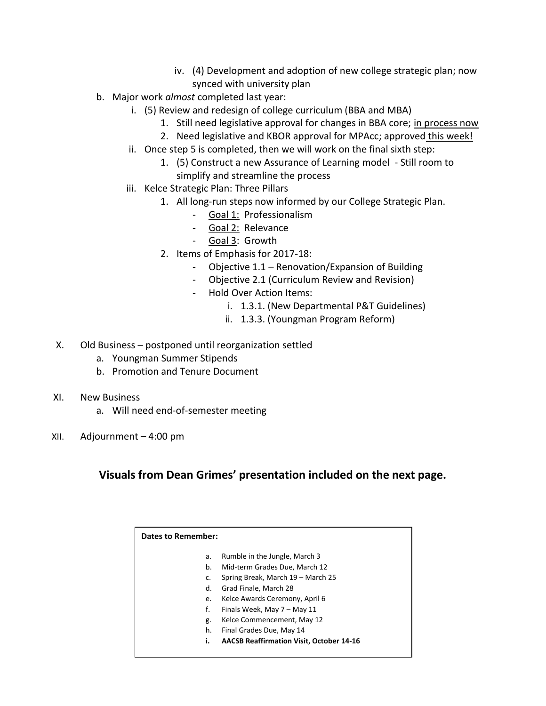- iv. (4) Development and adoption of new college strategic plan; now synced with university plan
- b. Major work *almost* completed last year:
	- i. (5) Review and redesign of college curriculum (BBA and MBA)
		- 1. Still need legislative approval for changes in BBA core; in process now
		- 2. Need legislative and KBOR approval for MPAcc; approved this week!
	- ii. Once step 5 is completed, then we will work on the final sixth step:
		- 1. (5) Construct a new Assurance of Learning model Still room to simplify and streamline the process
	- iii. Kelce Strategic Plan: Three Pillars
		- 1. All long-run steps now informed by our College Strategic Plan.
			- Goal 1: Professionalism
			- Goal 2: Relevance
			- Goal 3: Growth
			- 2. Items of Emphasis for 2017-18:
				- Objective 1.1 Renovation/Expansion of Building
				- Objective 2.1 (Curriculum Review and Revision)
				- Hold Over Action Items:
					- i. 1.3.1. (New Departmental P&T Guidelines)
					- ii. 1.3.3. (Youngman Program Reform)
- X. Old Business postponed until reorganization settled
	- a. Youngman Summer Stipends
	- b. Promotion and Tenure Document
- XI. New Business
	- a. Will need end-of-semester meeting
- XII. Adjournment 4:00 pm

# **Visuals from Dean Grimes' presentation included on the next page.**

| Dates to Remember: |                                                 |
|--------------------|-------------------------------------------------|
| а.                 | Rumble in the Jungle, March 3                   |
| b.                 | Mid-term Grades Due, March 12                   |
| c.                 | Spring Break, March 19 - March 25               |
| d.                 | Grad Finale, March 28                           |
| e.                 | Kelce Awards Ceremony, April 6                  |
| f.                 | Finals Week, May 7 - May 11                     |
| g.                 | Kelce Commencement, May 12                      |
| h.                 | Final Grades Due, May 14                        |
| i.                 | <b>AACSB Reaffirmation Visit, October 14-16</b> |